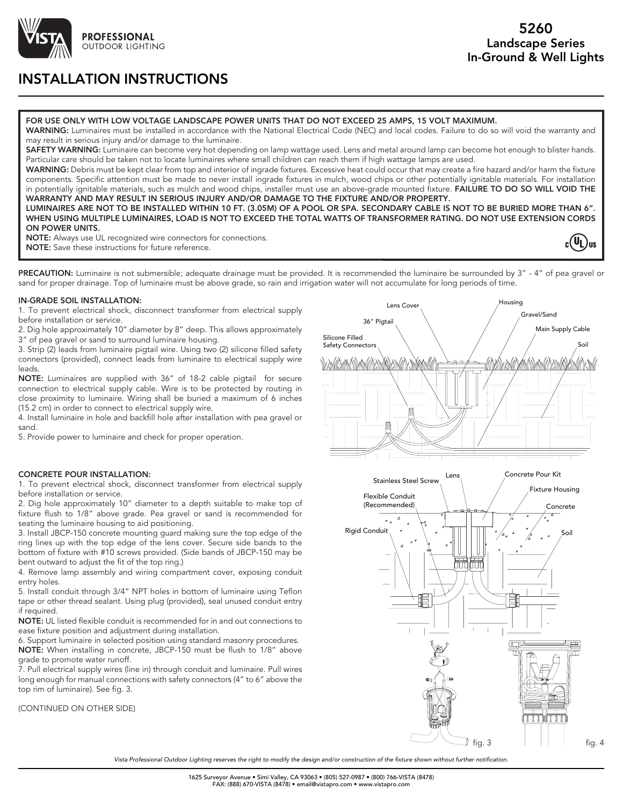

# INSTALLATION INSTRUCTIONS

#### FOR USE ONLY WITH LOW VOLTAGE LANDSCAPE POWER UNITS THAT DO NOT EXCEED 25 AMPS, 15 VOLT MAXIMUM.

WARNING: Luminaires must be installed in accordance with the National Electrical Code (NEC) and local codes. Failure to do so will void the warranty and may result in serious injury and/or damage to the luminaire.

SAFETY WARNING: Luminaire can become very hot depending on lamp wattage used. Lens and metal around lamp can become hot enough to blister hands. Particular care should be taken not to locate luminaires where small children can reach them if high wattage lamps are used.

WARNING: Debris must be kept clear from top and interior of ingrade fixtures. Excessive heat could occur that may create a fire hazard and/or harm the fixture components. Specific attention must be made to never install ingrade fixtures in mulch, wood chips or other potentially ignitable materials. For installation in potentially ignitable materials, such as mulch and wood chips, installer must use an above-grade mounted fixture. FAILURE TO DO SO WILL VOID THE WARRANTY AND MAY RESULT IN SERIOUS INJURY AND/OR DAMAGE TO THE FIXTURE AND/OR PROPERTY.

LUMINAIRES ARE NOT TO BE INSTALLED WITHIN 10 FT. (3.05M) OF A POOL OR SPA. SECONDARY CABLE IS NOT TO BE BURIED MORE THAN 6". WHEN USING MULTIPLE LUMINAIRES, LOAD IS NOT TO EXCEED THE TOTAL WATTS OF TRANSFORMER RATING. DO NOT USE EXTENSION CORDS ON POWER UNITS.

NOTE: Always use UL recognized wire connectors for connections. NOTE: Save these instructions for future reference.

 $(\mathsf{U_L})_{\mathsf{us}}$ 

PRECAUTION: Luminaire is not submersible; adequate drainage must be provided. It is recommended the luminaire be surrounded by 3" - 4" of pea gravel or sand for proper drainage. Top of luminaire must be above grade, so rain and irrigation water will not accumulate for long periods of time.

#### IN-GRADE SOIL INSTALLATION:

1. To prevent electrical shock, disconnect transformer from electrical supply before installation or service.

2. Dig hole approximately 10" diameter by 8" deep. This allows approximately 3" of pea gravel or sand to surround luminaire housing.

3. Strip (2) leads from luminaire pigtail wire. Using two (2) silicone filled safety connectors (provided), connect leads from luminaire to electrical supply wire leads.

NOTE: Luminaires are supplied with 36" of 18-2 cable pigtail for secure connection to electrical supply cable. Wire is to be protected by routing in close proximity to luminaire. Wiring shall be buried a maximum of 6 inches (15.2 cm) in order to connect to electrical supply wire.

4. Install luminaire in hole and backfill hole after installation with pea gravel or sand.

5. Provide power to luminaire and check for proper operation.

### CONCRETE POUR INSTALLATION:

1. To prevent electrical shock, disconnect transformer from electrical supply before installation or service.

2. Dig hole approximately 10" diameter to a depth suitable to make top of fixture flush to 1/8" above grade. Pea gravel or sand is recommended for seating the luminaire housing to aid positioning.

3. Install JBCP-150 concrete mounting guard making sure the top edge of the ring lines up with the top edge of the lens cover. Secure side bands to the bottom of fixture with #10 screws provided. (Side bands of JBCP-150 may be bent outward to adjust the fit of the top ring.)

4. Remove lamp assembly and wiring compartment cover, exposing conduit entry holes.

5. Install conduit through 3/4" NPT holes in bottom of luminaire using Teflon tape or other thread sealant. Using plug (provided), seal unused conduit entry if required.

NOTE: UL listed flexible conduit is recommended for in and out connections to ease fixture position and adjustment during installation.

6. Support luminaire in selected position using standard masonry procedures. NOTE: When installing in concrete, JBCP-150 must be flush to 1/8" above grade to promote water runoff.

7. Pull electrical supply wires (line in) through conduit and luminaire. Pull wires long enough for manual connections with safety connectors (4" to 6" above the top rim of luminaire). See fig. 3.

#### (CONTINUED ON OTHER SIDE)





*Vista Professional Outdoor Lighting reserves the right to modify the design and/or construction of the fixture shown without further notification.*